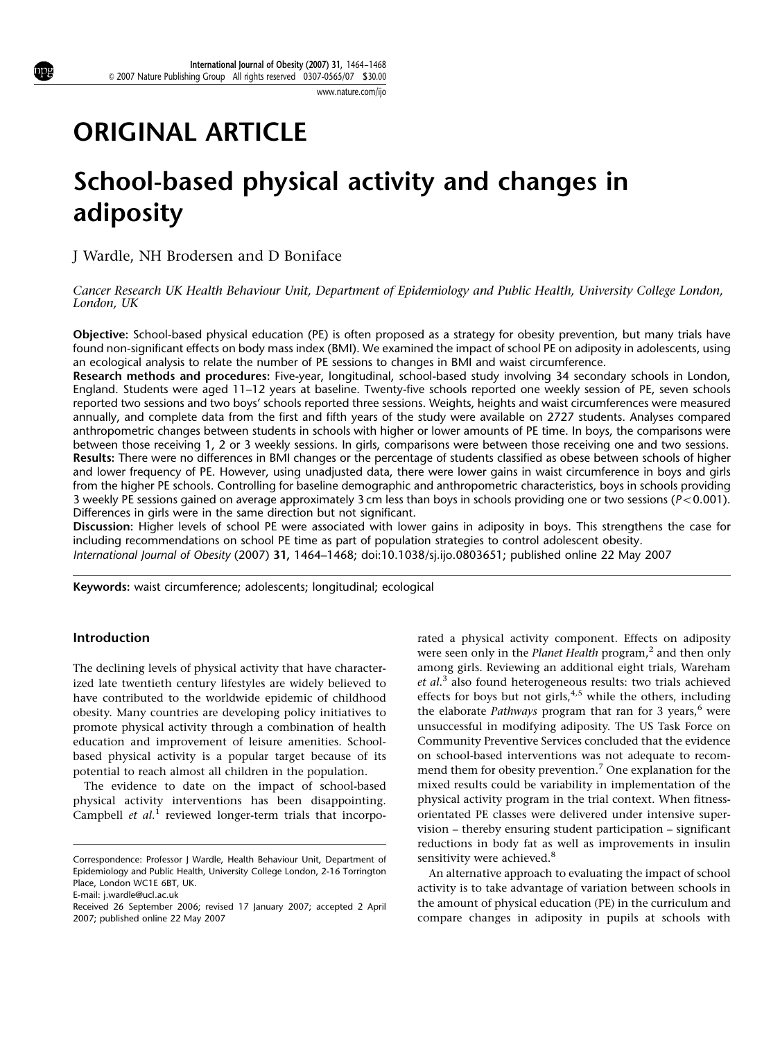# ORIGINAL ARTICLE

# School-based physical activity and changes in adiposity

J Wardle, NH Brodersen and D Boniface

Cancer Research UK Health Behaviour Unit, Department of Epidemiology and Public Health, University College London, London, UK

Objective: School-based physical education (PE) is often proposed as a strategy for obesity prevention, but many trials have found non-significant effects on body mass index (BMI). We examined the impact of school PE on adiposity in adolescents, using an ecological analysis to relate the number of PE sessions to changes in BMI and waist circumference.

Research methods and procedures: Five-year, longitudinal, school-based study involving 34 secondary schools in London, England. Students were aged 11–12 years at baseline. Twenty-five schools reported one weekly session of PE, seven schools reported two sessions and two boys' schools reported three sessions. Weights, heights and waist circumferences were measured annually, and complete data from the first and fifth years of the study were available on 2727 students. Analyses compared anthropometric changes between students in schools with higher or lower amounts of PE time. In boys, the comparisons were between those receiving 1, 2 or 3 weekly sessions. In girls, comparisons were between those receiving one and two sessions. Results: There were no differences in BMI changes or the percentage of students classified as obese between schools of higher and lower frequency of PE. However, using unadjusted data, there were lower gains in waist circumference in boys and girls from the higher PE schools. Controlling for baseline demographic and anthropometric characteristics, boys in schools providing 3 weekly PE sessions gained on average approximately 3 cm less than boys in schools providing one or two sessions ( $P < 0.001$ ). Differences in girls were in the same direction but not significant.

Discussion: Higher levels of school PE were associated with lower gains in adiposity in boys. This strengthens the case for including recommendations on school PE time as part of population strategies to control adolescent obesity. International Journal of Obesity (2007) 31, 1464–1468; doi:10.1038/sj.ijo.0803651; published online 22 May 2007

Keywords: waist circumference; adolescents; longitudinal; ecological

# Introduction

The declining levels of physical activity that have characterized late twentieth century lifestyles are widely believed to have contributed to the worldwide epidemic of childhood obesity. Many countries are developing policy initiatives to promote physical activity through a combination of health education and improvement of leisure amenities. Schoolbased physical activity is a popular target because of its potential to reach almost all children in the population.

The evidence to date on the impact of school-based physical activity interventions has been disappointing. Campbell et al.<sup>1</sup> reviewed longer-term trials that incorpo-

E-mail: j.wardle@ucl.ac.uk

rated a physical activity component. Effects on adiposity were seen only in the *Planet Health* program,<sup>2</sup> and then only among girls. Reviewing an additional eight trials, Wareham et al.<sup>3</sup> also found heterogeneous results: two trials achieved effects for boys but not girls, $4,5$  while the others, including the elaborate *Pathways* program that ran for 3 years,<sup>6</sup> were unsuccessful in modifying adiposity. The US Task Force on Community Preventive Services concluded that the evidence on school-based interventions was not adequate to recommend them for obesity prevention.<sup>7</sup> One explanation for the mixed results could be variability in implementation of the physical activity program in the trial context. When fitnessorientated PE classes were delivered under intensive supervision – thereby ensuring student participation – significant reductions in body fat as well as improvements in insulin sensitivity were achieved.<sup>8</sup>

An alternative approach to evaluating the impact of school activity is to take advantage of variation between schools in the amount of physical education (PE) in the curriculum and compare changes in adiposity in pupils at schools with

Correspondence: Professor J Wardle, Health Behaviour Unit, Department of Epidemiology and Public Health, University College London, 2-16 Torrington Place, London WC1E 6BT, UK.

Received 26 September 2006; revised 17 January 2007; accepted 2 April 2007; published online 22 May 2007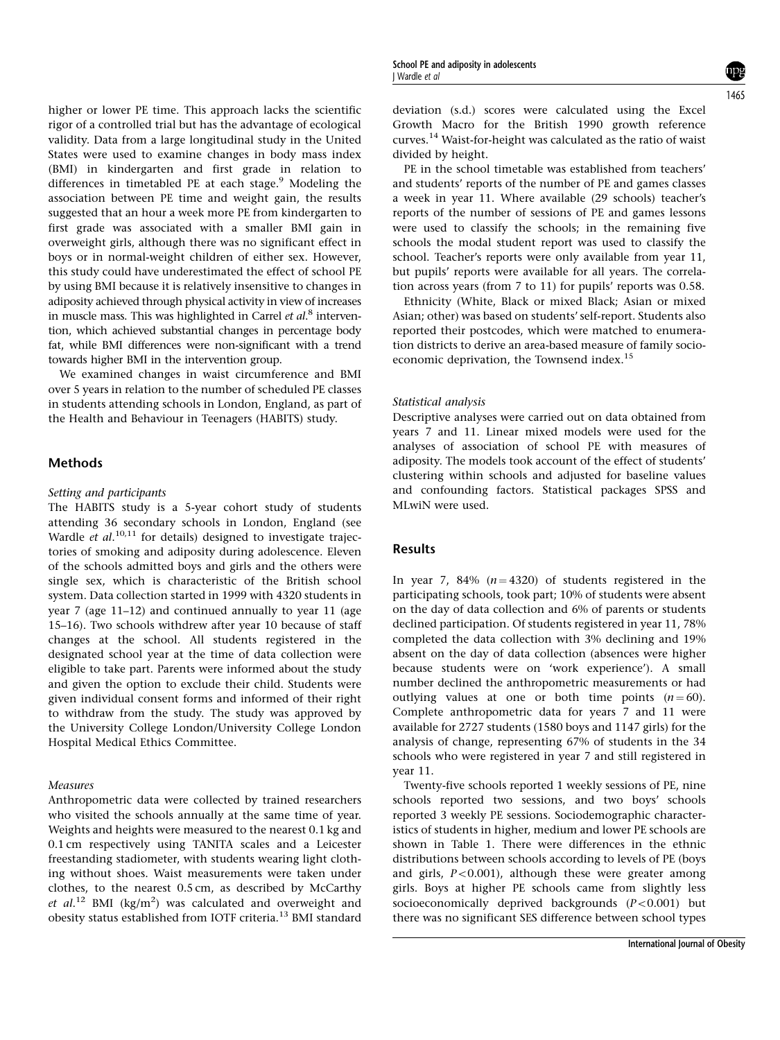higher or lower PE time. This approach lacks the scientific rigor of a controlled trial but has the advantage of ecological validity. Data from a large longitudinal study in the United States were used to examine changes in body mass index (BMI) in kindergarten and first grade in relation to differences in timetabled PE at each stage. $9$  Modeling the association between PE time and weight gain, the results suggested that an hour a week more PE from kindergarten to first grade was associated with a smaller BMI gain in overweight girls, although there was no significant effect in boys or in normal-weight children of either sex. However, this study could have underestimated the effect of school PE by using BMI because it is relatively insensitive to changes in adiposity achieved through physical activity in view of increases in muscle mass. This was highlighted in Carrel et al.<sup>8</sup> intervention, which achieved substantial changes in percentage body fat, while BMI differences were non-significant with a trend towards higher BMI in the intervention group.

We examined changes in waist circumference and BMI over 5 years in relation to the number of scheduled PE classes in students attending schools in London, England, as part of the Health and Behaviour in Teenagers (HABITS) study.

# Methods

#### Setting and participants

The HABITS study is a 5-year cohort study of students attending 36 secondary schools in London, England (see Wardle et al.<sup>10,11</sup> for details) designed to investigate trajectories of smoking and adiposity during adolescence. Eleven of the schools admitted boys and girls and the others were single sex, which is characteristic of the British school system. Data collection started in 1999 with 4320 students in year 7 (age 11–12) and continued annually to year 11 (age 15–16). Two schools withdrew after year 10 because of staff changes at the school. All students registered in the designated school year at the time of data collection were eligible to take part. Parents were informed about the study and given the option to exclude their child. Students were given individual consent forms and informed of their right to withdraw from the study. The study was approved by the University College London/University College London Hospital Medical Ethics Committee.

#### Measures

Anthropometric data were collected by trained researchers who visited the schools annually at the same time of year. Weights and heights were measured to the nearest 0.1 kg and 0.1 cm respectively using TANITA scales and a Leicester freestanding stadiometer, with students wearing light clothing without shoes. Waist measurements were taken under clothes, to the nearest 0.5 cm, as described by McCarthy *et al.*<sup>12</sup> BMI (kg/m<sup>2</sup>) was calculated and overweight and obesity status established from IOTF criteria.<sup>13</sup> BMI standard deviation (s.d.) scores were calculated using the Excel Growth Macro for the British 1990 growth reference curves.14 Waist-for-height was calculated as the ratio of waist divided by height.

PE in the school timetable was established from teachers' and students' reports of the number of PE and games classes a week in year 11. Where available (29 schools) teacher's reports of the number of sessions of PE and games lessons were used to classify the schools; in the remaining five schools the modal student report was used to classify the school. Teacher's reports were only available from year 11, but pupils' reports were available for all years. The correlation across years (from 7 to 11) for pupils' reports was 0.58.

Ethnicity (White, Black or mixed Black; Asian or mixed Asian; other) was based on students' self-report. Students also reported their postcodes, which were matched to enumeration districts to derive an area-based measure of family socioeconomic deprivation, the Townsend index.<sup>15</sup>

#### Statistical analysis

Descriptive analyses were carried out on data obtained from years 7 and 11. Linear mixed models were used for the analyses of association of school PE with measures of adiposity. The models took account of the effect of students' clustering within schools and adjusted for baseline values and confounding factors. Statistical packages SPSS and MLwiN were used.

# Results

In year 7, 84%  $(n = 4320)$  of students registered in the participating schools, took part; 10% of students were absent on the day of data collection and 6% of parents or students declined participation. Of students registered in year 11, 78% completed the data collection with 3% declining and 19% absent on the day of data collection (absences were higher because students were on 'work experience'). A small number declined the anthropometric measurements or had outlying values at one or both time points  $(n=60)$ . Complete anthropometric data for years 7 and 11 were available for 2727 students (1580 boys and 1147 girls) for the analysis of change, representing 67% of students in the 34 schools who were registered in year 7 and still registered in year 11.

Twenty-five schools reported 1 weekly sessions of PE, nine schools reported two sessions, and two boys' schools reported 3 weekly PE sessions. Sociodemographic characteristics of students in higher, medium and lower PE schools are shown in Table 1. There were differences in the ethnic distributions between schools according to levels of PE (boys and girls,  $P < 0.001$ ), although these were greater among girls. Boys at higher PE schools came from slightly less socioeconomically deprived backgrounds  $(P<0.001)$  but there was no significant SES difference between school types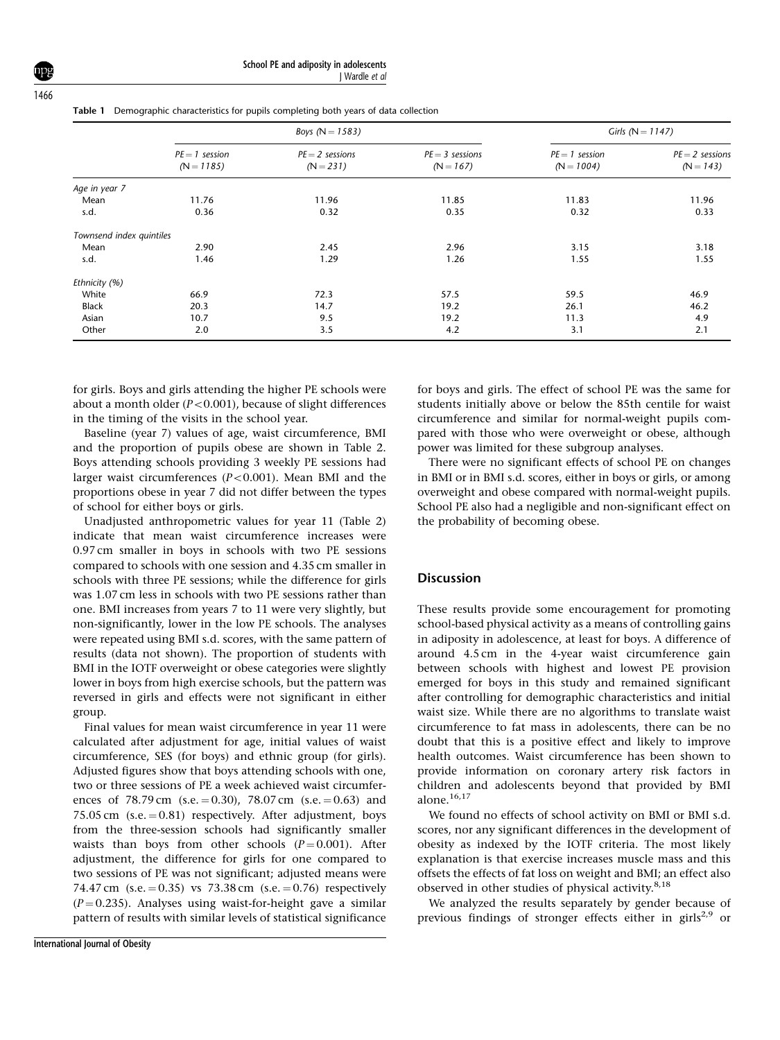| ı |  | I<br>$\sim$ | $\sim$ |
|---|--|-------------|--------|
|---|--|-------------|--------|

|                          | Boys ( $N = 1583$ )              |                                  |                                  | Girls ( $N = 1147$ )             |                                  |
|--------------------------|----------------------------------|----------------------------------|----------------------------------|----------------------------------|----------------------------------|
|                          | $PE = 1$ session<br>$(N = 1185)$ | $PE = 2$ sessions<br>$(N = 231)$ | $PE = 3$ sessions<br>$(N = 167)$ | $PE = 1$ session<br>$(N = 1004)$ | $PE = 2$ sessions<br>$(N = 143)$ |
| Age in year 7            |                                  |                                  |                                  |                                  |                                  |
| Mean                     | 11.76                            | 11.96                            | 11.85                            | 11.83                            | 11.96                            |
| s.d.                     | 0.36                             | 0.32                             | 0.35                             | 0.32                             | 0.33                             |
| Townsend index quintiles |                                  |                                  |                                  |                                  |                                  |
| Mean                     | 2.90                             | 2.45                             | 2.96                             | 3.15                             | 3.18                             |
| s.d.                     | 1.46                             | 1.29                             | 1.26                             | 1.55                             | 1.55                             |
| Ethnicity (%)            |                                  |                                  |                                  |                                  |                                  |
| White                    | 66.9                             | 72.3                             | 57.5                             | 59.5                             | 46.9                             |
| <b>Black</b>             | 20.3                             | 14.7                             | 19.2                             | 26.1                             | 46.2                             |
| Asian                    | 10.7                             | 9.5                              | 19.2                             | 11.3                             | 4.9                              |
| Other                    | 2.0                              | 3.5                              | 4.2                              | 3.1                              | 2.1                              |

Table 1 Demographic characteristics for pupils completing both years of data collection

for girls. Boys and girls attending the higher PE schools were about a month older  $(P<0.001)$ , because of slight differences in the timing of the visits in the school year.

Baseline (year 7) values of age, waist circumference, BMI and the proportion of pupils obese are shown in Table 2. Boys attending schools providing 3 weekly PE sessions had larger waist circumferences  $(P<0.001)$ . Mean BMI and the proportions obese in year 7 did not differ between the types of school for either boys or girls.

Unadjusted anthropometric values for year 11 (Table 2) indicate that mean waist circumference increases were 0.97 cm smaller in boys in schools with two PE sessions compared to schools with one session and 4.35 cm smaller in schools with three PE sessions; while the difference for girls was 1.07 cm less in schools with two PE sessions rather than one. BMI increases from years 7 to 11 were very slightly, but non-significantly, lower in the low PE schools. The analyses were repeated using BMI s.d. scores, with the same pattern of results (data not shown). The proportion of students with BMI in the IOTF overweight or obese categories were slightly lower in boys from high exercise schools, but the pattern was reversed in girls and effects were not significant in either group.

Final values for mean waist circumference in year 11 were calculated after adjustment for age, initial values of waist circumference, SES (for boys) and ethnic group (for girls). Adjusted figures show that boys attending schools with one, two or three sessions of PE a week achieved waist circumferences of  $78.79 \text{ cm}$  (s.e.  $= 0.30$ ),  $78.07 \text{ cm}$  (s.e.  $= 0.63$ ) and 75.05 cm  $(s.e. = 0.81)$  respectively. After adjustment, boys from the three-session schools had significantly smaller waists than boys from other schools  $(P=0.001)$ . After adjustment, the difference for girls for one compared to two sessions of PE was not significant; adjusted means were 74.47 cm  $(s.e. = 0.35)$  vs 73.38 cm  $(s.e. = 0.76)$  respectively  $(P = 0.235)$ . Analyses using waist-for-height gave a similar pattern of results with similar levels of statistical significance

for boys and girls. The effect of school PE was the same for students initially above or below the 85th centile for waist circumference and similar for normal-weight pupils compared with those who were overweight or obese, although power was limited for these subgroup analyses.

There were no significant effects of school PE on changes in BMI or in BMI s.d. scores, either in boys or girls, or among overweight and obese compared with normal-weight pupils. School PE also had a negligible and non-significant effect on the probability of becoming obese.

# **Discussion**

These results provide some encouragement for promoting school-based physical activity as a means of controlling gains in adiposity in adolescence, at least for boys. A difference of around 4.5 cm in the 4-year waist circumference gain between schools with highest and lowest PE provision emerged for boys in this study and remained significant after controlling for demographic characteristics and initial waist size. While there are no algorithms to translate waist circumference to fat mass in adolescents, there can be no doubt that this is a positive effect and likely to improve health outcomes. Waist circumference has been shown to provide information on coronary artery risk factors in children and adolescents beyond that provided by BMI alone.16,17

We found no effects of school activity on BMI or BMI s.d. scores, nor any significant differences in the development of obesity as indexed by the IOTF criteria. The most likely explanation is that exercise increases muscle mass and this offsets the effects of fat loss on weight and BMI; an effect also observed in other studies of physical activity.<sup>8,18</sup>

We analyzed the results separately by gender because of previous findings of stronger effects either in girls<sup>2,9</sup> or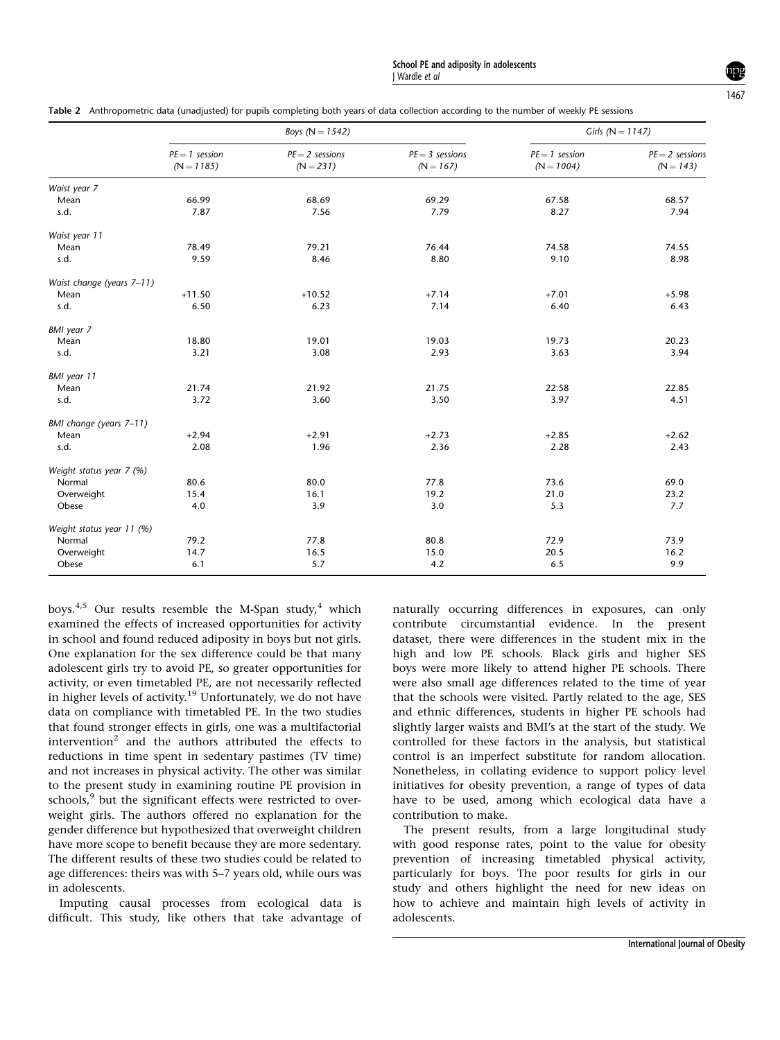Table 2 Anthropometric data (unadjusted) for pupils completing both years of data collection according to the number of weekly PE sessions

|                           |                                  | Boys ( $N = 1542$ )              |                                  |                                  | Girls ( $N = 1147$ )             |  |
|---------------------------|----------------------------------|----------------------------------|----------------------------------|----------------------------------|----------------------------------|--|
|                           | $PE = 1$ session<br>$(N = 1185)$ | $PE = 2$ sessions<br>$(N = 231)$ | $PE = 3$ sessions<br>$(N = 167)$ | $PE = 1$ session<br>$(N = 1004)$ | $PE = 2$ sessions<br>$(N = 143)$ |  |
| Waist year 7              |                                  |                                  |                                  |                                  |                                  |  |
| Mean                      | 66.99                            | 68.69                            | 69.29                            | 67.58                            | 68.57                            |  |
| s.d.                      | 7.87                             | 7.56                             | 7.79                             | 8.27                             | 7.94                             |  |
| Waist year 11             |                                  |                                  |                                  |                                  |                                  |  |
| Mean                      | 78.49                            | 79.21                            | 76.44                            | 74.58                            | 74.55                            |  |
| s.d.                      | 9.59                             | 8.46                             | 8.80                             | 9.10                             | 8.98                             |  |
| Waist change (years 7-11) |                                  |                                  |                                  |                                  |                                  |  |
| Mean                      | $+11.50$                         | $+10.52$                         | $+7.14$                          | $+7.01$                          | $+5.98$                          |  |
| s.d.                      | 6.50                             | 6.23                             | 7.14                             | 6.40                             | 6.43                             |  |
| BMI year 7                |                                  |                                  |                                  |                                  |                                  |  |
| Mean                      | 18.80                            | 19.01                            | 19.03                            | 19.73                            | 20.23                            |  |
| s.d.                      | 3.21                             | 3.08                             | 2.93                             | 3.63                             | 3.94                             |  |
| BMI year 11               |                                  |                                  |                                  |                                  |                                  |  |
| Mean                      | 21.74                            | 21.92                            | 21.75                            | 22.58                            | 22.85                            |  |
| s.d.                      | 3.72                             | 3.60                             | 3.50                             | 3.97                             | 4.51                             |  |
| BMI change (years 7-11)   |                                  |                                  |                                  |                                  |                                  |  |
| Mean                      | $+2.94$                          | $+2.91$                          | $+2.73$                          | $+2.85$                          | $+2.62$                          |  |
| s.d.                      | 2.08                             | 1.96                             | 2.36                             | 2.28                             | 2.43                             |  |
| Weight status year 7 (%)  |                                  |                                  |                                  |                                  |                                  |  |
| Normal                    | 80.6                             | 80.0                             | 77.8                             | 73.6                             | 69.0                             |  |
| Overweight                | 15.4                             | 16.1                             | 19.2                             | 21.0                             | 23.2                             |  |
| Obese                     | 4.0                              | 3.9                              | 3.0                              | 5.3                              | 7.7                              |  |
| Weight status year 11 (%) |                                  |                                  |                                  |                                  |                                  |  |
| Normal                    | 79.2                             | 77.8                             | 80.8                             | 72.9                             | 73.9                             |  |
| Overweight                | 14.7                             | 16.5                             | 15.0                             | 20.5                             | 16.2                             |  |
| Obese                     | 6.1                              | 5.7                              | 4.2                              | 6.5                              | 9.9                              |  |

boys.<sup>4,5</sup> Our results resemble the M-Span study,<sup>4</sup> which examined the effects of increased opportunities for activity in school and found reduced adiposity in boys but not girls. One explanation for the sex difference could be that many adolescent girls try to avoid PE, so greater opportunities for activity, or even timetabled PE, are not necessarily reflected in higher levels of activity.<sup>19</sup> Unfortunately, we do not have data on compliance with timetabled PE. In the two studies that found stronger effects in girls, one was a multifactorial intervention<sup>2</sup> and the authors attributed the effects to reductions in time spent in sedentary pastimes (TV time) and not increases in physical activity. The other was similar to the present study in examining routine PE provision in schools,<sup>9</sup> but the significant effects were restricted to overweight girls. The authors offered no explanation for the gender difference but hypothesized that overweight children have more scope to benefit because they are more sedentary. The different results of these two studies could be related to age differences: theirs was with 5–7 years old, while ours was in adolescents.

Imputing causal processes from ecological data is difficult. This study, like others that take advantage of naturally occurring differences in exposures, can only contribute circumstantial evidence. In the present dataset, there were differences in the student mix in the high and low PE schools. Black girls and higher SES boys were more likely to attend higher PE schools. There were also small age differences related to the time of year that the schools were visited. Partly related to the age, SES and ethnic differences, students in higher PE schools had slightly larger waists and BMI's at the start of the study. We controlled for these factors in the analysis, but statistical control is an imperfect substitute for random allocation. Nonetheless, in collating evidence to support policy level initiatives for obesity prevention, a range of types of data have to be used, among which ecological data have a contribution to make.

The present results, from a large longitudinal study with good response rates, point to the value for obesity prevention of increasing timetabled physical activity, particularly for boys. The poor results for girls in our study and others highlight the need for new ideas on how to achieve and maintain high levels of activity in adolescents.